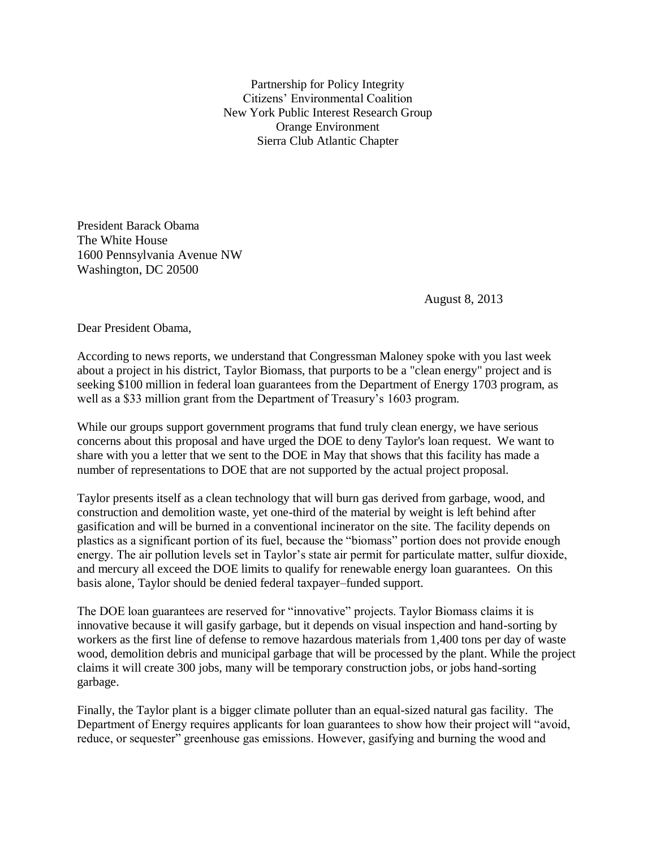Partnership for Policy Integrity Citizens' Environmental Coalition New York Public Interest Research Group Orange Environment Sierra Club Atlantic Chapter

President Barack Obama The White House 1600 Pennsylvania Avenue NW Washington, DC 20500

August 8, 2013

Dear President Obama,

According to news reports, we understand that Congressman Maloney spoke with you last week about a project in his district, Taylor Biomass, that purports to be a "clean energy" project and is seeking \$100 million in federal loan guarantees from the Department of Energy 1703 program, as well as a \$33 million grant from the Department of Treasury's 1603 program.

While our groups support government programs that fund truly clean energy, we have serious concerns about this proposal and have urged the DOE to deny Taylor's loan request. We want to share with you a letter that we sent to the DOE in May that shows that this facility has made a number of representations to DOE that are not supported by the actual project proposal.

Taylor presents itself as a clean technology that will burn gas derived from garbage, wood, and construction and demolition waste, yet one-third of the material by weight is left behind after gasification and will be burned in a conventional incinerator on the site. The facility depends on plastics as a significant portion of its fuel, because the "biomass" portion does not provide enough energy. The air pollution levels set in Taylor's state air permit for particulate matter, sulfur dioxide, and mercury all exceed the DOE limits to qualify for renewable energy loan guarantees. On this basis alone, Taylor should be denied federal taxpayer–funded support.

The DOE loan guarantees are reserved for "innovative" projects. Taylor Biomass claims it is innovative because it will gasify garbage, but it depends on visual inspection and hand-sorting by workers as the first line of defense to remove hazardous materials from 1,400 tons per day of waste wood, demolition debris and municipal garbage that will be processed by the plant. While the project claims it will create 300 jobs, many will be temporary construction jobs, or jobs hand-sorting garbage.

Finally, the Taylor plant is a bigger climate polluter than an equal-sized natural gas facility. The Department of Energy requires applicants for loan guarantees to show how their project will "avoid, reduce, or sequester" greenhouse gas emissions. However, gasifying and burning the wood and